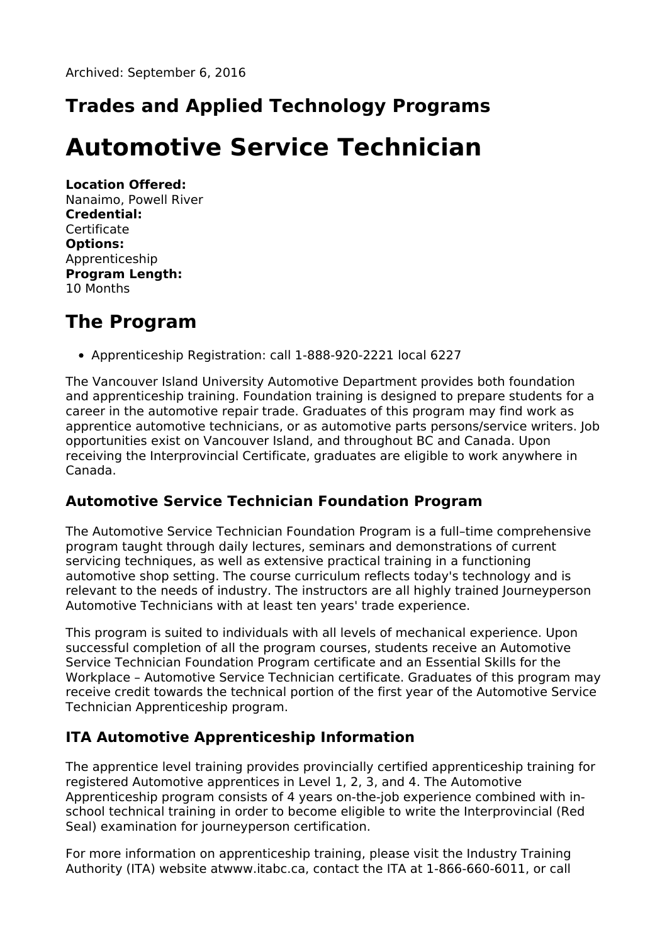## **Trades and Applied Technology Programs**

# **Automotive Service Technician**

**Location Offered:** Nanaimo, Powell River **Credential: Certificate Options:** Apprenticeship **Program Length:** 10 Months

#### **The Program**

Apprenticeship Registration: call 1-888-920-2221 local 6227

The Vancouver Island University Automotive Department provides both foundation and apprenticeship training. Foundation training is designed to prepare students for a career in the automotive repair trade. Graduates of this program may find work as apprentice automotive technicians, or as automotive parts persons/service writers. Job opportunities exist on Vancouver Island, and throughout BC and Canada. Upon receiving the Interprovincial Certificate, graduates are eligible to work anywhere in Canada.

#### **Automotive Service Technician Foundation Program**

The Automotive Service Technician Foundation Program is a full–time comprehensive program taught through daily lectures, seminars and demonstrations of current servicing techniques, as well as extensive practical training in a functioning automotive shop setting. The course curriculum reflects today's technology and is relevant to the needs of industry. The instructors are all highly trained Journeyperson Automotive Technicians with at least ten years' trade experience.

This program is suited to individuals with all levels of mechanical experience. Upon successful completion of all the program courses, students receive an Automotive Service Technician Foundation Program certificate and an Essential Skills for the Workplace – Automotive Service Technician certificate. Graduates of this program may receive credit towards the technical portion of the first year of the Automotive Service Technician Apprenticeship program.

#### **ITA Automotive Apprenticeship Information**

The apprentice level training provides provincially certified apprenticeship training for registered Automotive apprentices in Level 1, 2, 3, and 4. The Automotive Apprenticeship program consists of 4 years on-the-job experience combined with inschool technical training in order to become eligible to write the Interprovincial (Red Seal) examination for journeyperson certification.

For more information on apprenticeship training, please visit the Industry Training Authority (ITA) website atwww.itabc.ca, contact the ITA at 1-866-660-6011, or call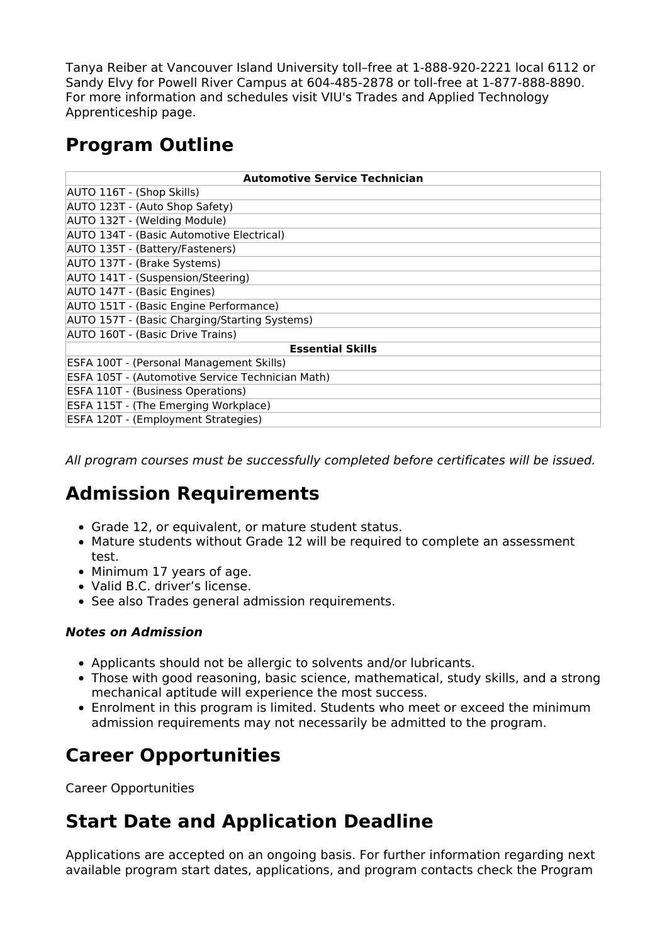Tanya Reiber at Vancouver Island University toll–free at 1-888-920-2221 local 6112 or Sandy Elvy for Powell River Campus at 604-485-2878 or toll-free at 1-877-888-8890. For more information and schedules visit VIU's Trades and Applied Technology Apprenticeship page.

#### **Program Outline**

| <b>Automotive Service Technician</b>             |
|--------------------------------------------------|
| AUTO 116T - (Shop Skills)                        |
| AUTO 123T - (Auto Shop Safety)                   |
| AUTO 132T - (Welding Module)                     |
| AUTO 134T - (Basic Automotive Electrical)        |
| AUTO 135T - (Battery/Fasteners)                  |
| AUTO 137T - (Brake Systems)                      |
| AUTO 141T - (Suspension/Steering)                |
| AUTO 147T - (Basic Engines)                      |
| AUTO 151T - (Basic Engine Performance)           |
| AUTO 157T - (Basic Charging/Starting Systems)    |
| AUTO 160T - (Basic Drive Trains)                 |
| <b>Essential Skills</b>                          |
| ESFA 100T - (Personal Management Skills)         |
| ESFA 105T - (Automotive Service Technician Math) |
| <b>ESFA 110T - (Business Operations)</b>         |
| ESFA 115T - (The Emerging Workplace)             |
| ESFA 120T - (Employment Strategies)              |

All program courses must be successfully completed before certificates will be issued.

### **Admission Requirements**

- Grade 12, or equivalent, or mature student status.
- Mature students without Grade 12 will be required to complete an assessment test.
- Minimum 17 years of age.
- Valid B.C. driver's license.
- See also Trades general admission requirements.

#### **Notes on Admission**

- Applicants should not be allergic to solvents and/or lubricants.
- Those with good reasoning, basic science, mathematical, study skills, and a strong mechanical aptitude will experience the most success.
- Enrolment in this program is limited. Students who meet or exceed the minimum admission requirements may not necessarily be admitted to the program.

#### **Career Opportunities**

Career Opportunities

### **Start Date and Application Deadline**

Applications are accepted on an ongoing basis. For further information regarding next available program start dates, applications, and program contacts check the Program